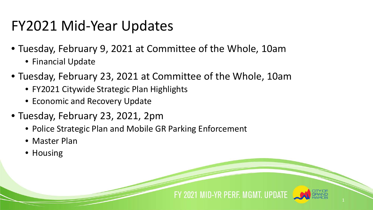## FY2021 Mid-Year Updates

- Tuesday, February 9, 2021 at Committee of the Whole, 10am
	- Financial Update
- Tuesday, February 23, 2021 at Committee of the Whole, 10am
	- FY2021 Citywide Strategic Plan Highlights
	- Economic and Recovery Update
- Tuesday, February 23, 2021, 2pm
	- Police Strategic Plan and Mobile GR Parking Enforcement
	- Master Plan
	- Housing

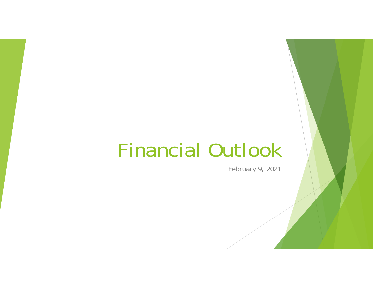# Financial Outlook

February 9, 2021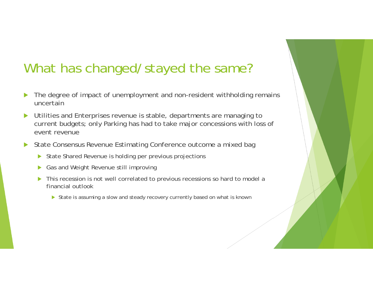## What has changed/stayed the same?

- $\blacktriangleright$  The degree of impact of unemployment and non-resident withholding remains uncertain
- $\blacktriangleright$  Utilities and Enterprises revenue is stable, departments are managing to current budgets; only Parking has had to take major concessions with loss of event revenue
- $\blacktriangleright$  State Consensus Revenue Estimating Conference outcome a mixed bag
	- $\blacktriangleright$ State Shared Revenue is holding per previous projections
	- $\blacktriangleright$ Gas and Weight Revenue still improving
	- $\blacktriangleright$  This recession is not well correlated to previous recessions so hard to model a financial outlook
		- State is assuming a slow and steady recovery currently based on what is known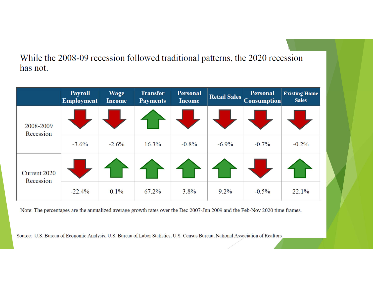While the 2008-09 recession followed traditional patterns, the 2020 recession has not.

|                                  | <b>Payroll</b><br><b>Employment</b> | <b>Wage</b><br><b>Income</b> | <b>Transfer</b><br><b>Payments</b> | <b>Personal</b><br><b>Income</b> | <b>Retail Sales</b> | <b>Personal</b><br><b>Consumption</b> | <b>Existing Home</b><br><b>Sales</b> |
|----------------------------------|-------------------------------------|------------------------------|------------------------------------|----------------------------------|---------------------|---------------------------------------|--------------------------------------|
| 2008-2009<br>Recession           |                                     |                              |                                    |                                  |                     |                                       |                                      |
|                                  | $-3.6\%$                            | $-2.6\%$                     | $16.3\%$                           | $-0.8%$                          | $-6.9\%$            | $-0.7\%$                              | $-0.2\%$                             |
| <b>Current 2020</b><br>Recession |                                     |                              |                                    |                                  |                     |                                       |                                      |
|                                  | $-22.4%$                            | $0.1\%$                      | $67.2\%$                           | 3.8%                             | $9.2\%$             | $-0.5\%$                              | 22.1%                                |

Note: The percentages are the annualized average growth rates over the Dec 2007-Jun 2009 and the Feb-Nov 2020 time frames.

Source: U.S. Bureau of Economic Analysis, U.S. Bureau of Labor Statistics, U.S. Census Bureau, National Association of Realtors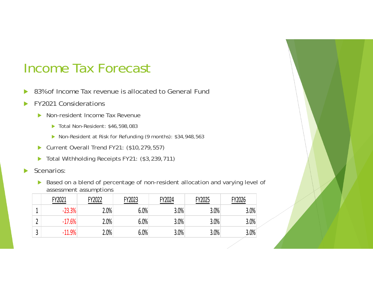#### Income Tax Forecast

- $\blacktriangleright$ 83% of Income Tax revenue is allocated to General Fund
- $\blacktriangleright$  FY2021 Considerations
	- $\blacktriangleright$  Non-resident Income Tax Revenue
		- ▶ Total Non-Resident: \$46,598,083
		- ▶ Non-Resident at Risk for Refunding (9 months): \$34,948,563
	- ▶ Current Overall Trend FY21: (\$10,279,557)
	- ▶ Total Withholding Receipts FY21: (\$3,239,711)
- $\blacktriangleright$  Scenarios:
	- ▶ Based on a blend of percentage of non-resident allocation and varying level of assessment assumptions

| FY2021   | FY2022 | FY2023  | FY2024 | FY2025 | FY2026  |
|----------|--------|---------|--------|--------|---------|
| $-23.3%$ | 2.0%   | 6.0%    | 3.0%   | 3.0%   | 3.0%    |
| $-17.6%$ | 2.0%   | $6.0\%$ | 3.0%   | 3.0%   | 3.0%    |
| $-11.9%$ | 2.0%   | 6.0%    | 3.0%   | 3.0%   | $3.0\%$ |

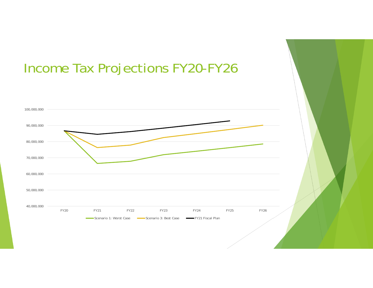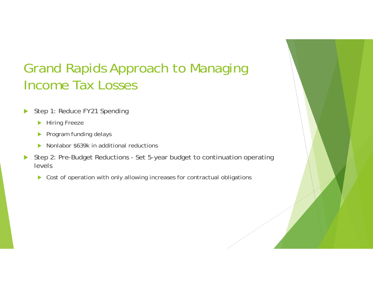## Grand Rapids Approach to Managing Income Tax Losses

- $\blacktriangleright$  Step 1: Reduce FY21 Spending
	- **Hiring Freeze**
	- $\blacktriangleright$  Program funding delays
	- $\blacktriangleright$ Nonlabor \$639k in additional reductions
- $\blacktriangleright$  Step 2: Pre-Budget Reductions - Set 5-year budget to continuation operating levels
	- $\blacktriangleright$ Cost of operation with only allowing increases for contractual obligations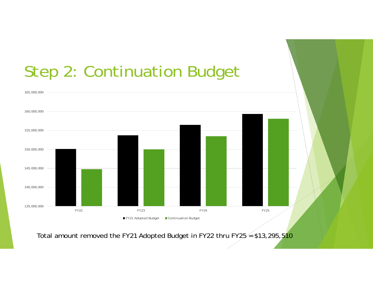

Total amount removed the FY21 Adopted Budget in FY22 thru FY25  $=$  \$13,295,510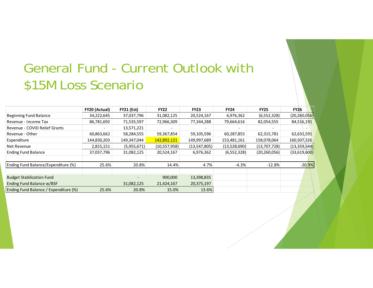## General Fund - Current Outlook with \$15M Loss Scenario

|                                       | FY20 (Actual) | <b>FY21 (Est)</b> | <b>FY22</b>                  | <b>FY23</b>              | <b>FY24</b>  | <b>FY25</b>    | <b>FY26</b>    |
|---------------------------------------|---------------|-------------------|------------------------------|--------------------------|--------------|----------------|----------------|
| <b>Beginning Fund Balance</b>         | 34,222,645    | 37,037,796        | 31,082,125                   | 20,524,167               | 6,976,362    | (6,552,328)    | (20, 260, 056) |
| Revenue - Income Tax                  | 86,781,692    | 71,535,597        | 72,966,309                   | 77,344,288               | 79,664,616   | 82,054,555     | 84,516,191     |
| Revenue - COVID Relief Grants         |               | 13,571,221        | $\qquad \qquad \blacksquare$ | $\overline{\phantom{a}}$ |              |                |                |
| Revenue - Other                       | 60,863,662    | 58,284,555        | 59,367,854                   | 59,105,596               | 60,287,855   | 62,315,781     | 62,631,591     |
| Expenditure                           | 144,830,203   | 149,347,044       | 142,892,121                  | 149,997,689              | 153,481,161  | 158,078,064    | 160,507,326    |
| Net Revenue                           | 2,815,151     | (5,955,671)       | (10,557,958)                 | (13, 547, 805)           | (13,528,690) | (13,707,728)   | (13, 359, 544) |
| <b>Ending Fund Balance</b>            | 37,037,796    | 31,082,125        | 20,524,167                   | 6,976,362                | (6,552,328)  | (20, 260, 056) | (33,619,600)   |
| Ending Fund Balance/Expenditure (%)   | 25.6%         | 20.8%             | 14.4%                        | 4.7%                     | $-4.3%$      | $-12.8%$       | $-20.9%$       |
|                                       |               |                   |                              |                          |              |                |                |
| <b>Budget Stabilization Fund</b>      |               |                   | 900,000                      | 13,398,835               |              |                |                |
| Ending Fund Balance w/BSF             |               | 31,082,125        | 21,424,167                   | 20,375,197               |              |                |                |
| Ending Fund Balance / Expenditure (%) | 25.6%         | 20.8%             | 15.0%                        | 13.6%                    |              |                |                |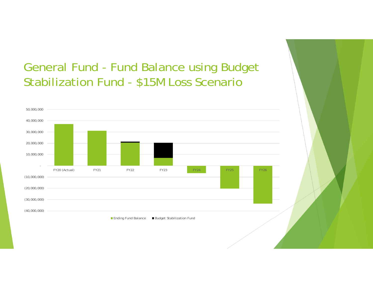#### General Fund - Fund Balance using Budget Stabilization Fund - \$15M Loss Scenario

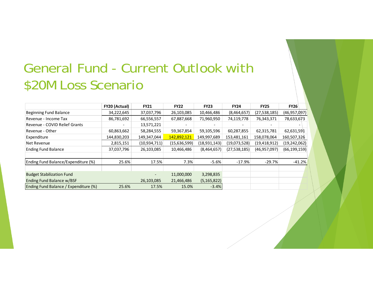## General Fund - Current Outlook with \$20M Loss Scenario

|                                       | FY20 (Actual) | <b>FY21</b>                  | <b>FY22</b>  | <b>FY23</b>    | <b>FY24</b>  | <b>FY25</b>    | <b>FY26</b>    |
|---------------------------------------|---------------|------------------------------|--------------|----------------|--------------|----------------|----------------|
| <b>Beginning Fund Balance</b>         | 34,222,645    | 37,037,796                   | 26,103,085   | 10,466,486     | (8,464,657)  | (27, 538, 185) | (46, 957, 097) |
| Revenue - Income Tax                  | 86,781,692    | 66,556,557                   | 67,887,668   | 71,960,950     | 74,119,778   | 76,343,371     | 78,633,673     |
| Revenue - COVID Relief Grants         |               | 13,571,221                   |              |                |              |                |                |
| Revenue - Other                       | 60,863,662    | 58,284,555                   | 59,367,854   | 59,105,596     | 60,287,855   | 62,315,781     | 62,631,591     |
| Expenditure                           | 144,830,203   | 149,347,044                  | 142,892,121  | 149,997,689    | 153,481,161  | 158,078,064    | 160,507,326    |
| Net Revenue                           | 2,815,151     | (10, 934, 711)               | (15,636,599) | (18, 931, 143) | (19,073,528) | (19, 418, 912) | (19, 242, 062) |
| <b>Ending Fund Balance</b>            | 37,037,796    | 26,103,085                   | 10,466,486   | (8,464,657)    | (27,538,185) | (46, 957, 097) | (66, 199, 159) |
| Ending Fund Balance/Expenditure (%)   | 25.6%         | 17.5%                        | 7.3%         | $-5.6%$        | $-17.9%$     | $-29.7%$       | $-41.2%$       |
|                                       |               |                              |              |                |              |                |                |
| <b>Budget Stabilization Fund</b>      |               | $\qquad \qquad \blacksquare$ | 11,000,000   | 3,298,835      |              |                |                |
| Ending Fund Balance w/BSF             |               | 26,103,085                   | 21,466,486   | (5, 165, 822)  |              |                |                |
| Ending Fund Balance / Expenditure (%) | 25.6%         | 17.5%                        | 15.0%        | $-3.4%$        |              |                |                |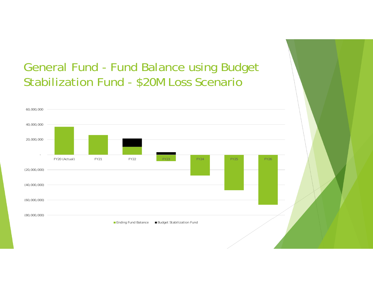#### General Fund - Fund Balance using Budget Stabilization Fund - \$20M Loss Scenario

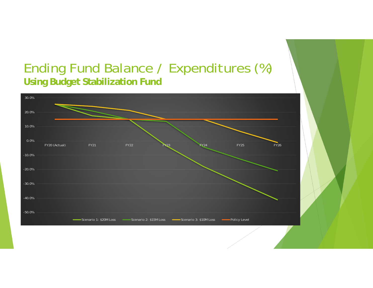#### Ending Fund Balance / Expenditures (%) **Using Budget Stabilization Fund**

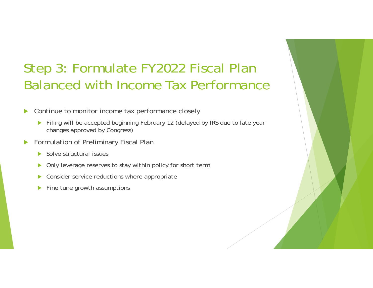## Step 3: Formulate FY2022 Fiscal Plan Balanced with Income Tax Performance

 $\blacktriangleright$ Continue to monitor income tax performance closely

- Filing will be accepted beginning February 12 (delayed by IRS due to late year changes approved by Congress)
- $\blacktriangleright$  Formulation of Preliminary Fiscal Plan
	- ▶ Solve structural issues
	- $\blacktriangleright$ Only leverage reserves to stay within policy for short term
	- $\blacktriangleright$ Consider service reductions where appropriate
	- $\blacktriangleright$ Fine tune growth assumptions